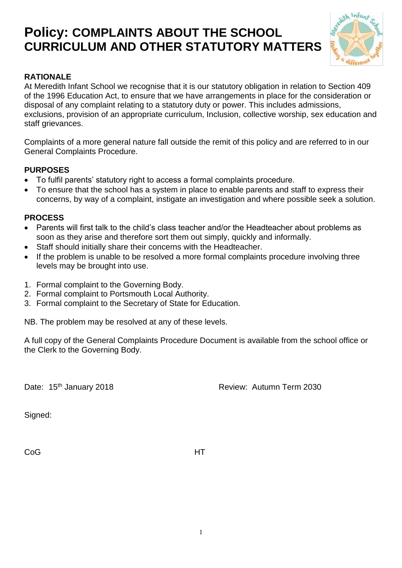# **Policy: COMPLAINTS ABOUT THE SCHOOL CURRICULUM AND OTHER STATUTORY MATTERS**



### **RATIONALE**

At Meredith Infant School we recognise that it is our statutory obligation in relation to Section 409 of the 1996 Education Act, to ensure that we have arrangements in place for the consideration or disposal of any complaint relating to a statutory duty or power. This includes admissions, exclusions, provision of an appropriate curriculum, Inclusion, collective worship, sex education and staff grievances.

Complaints of a more general nature fall outside the remit of this policy and are referred to in our General Complaints Procedure.

#### **PURPOSES**

- To fulfil parents' statutory right to access a formal complaints procedure.
- To ensure that the school has a system in place to enable parents and staff to express their concerns, by way of a complaint, instigate an investigation and where possible seek a solution.

#### **PROCESS**

- Parents will first talk to the child's class teacher and/or the Headteacher about problems as soon as they arise and therefore sort them out simply, quickly and informally.
- Staff should initially share their concerns with the Headteacher.
- If the problem is unable to be resolved a more formal complaints procedure involving three levels may be brought into use.
- 1. Formal complaint to the Governing Body.
- 2. Formal complaint to Portsmouth Local Authority.
- 3. Formal complaint to the Secretary of State for Education.

NB. The problem may be resolved at any of these levels.

A full copy of the General Complaints Procedure Document is available from the school office or the Clerk to the Governing Body.

Date: 15<sup>th</sup> January 2018 **Review: Autumn Term 2030** 

Signed:

CoG **HT**